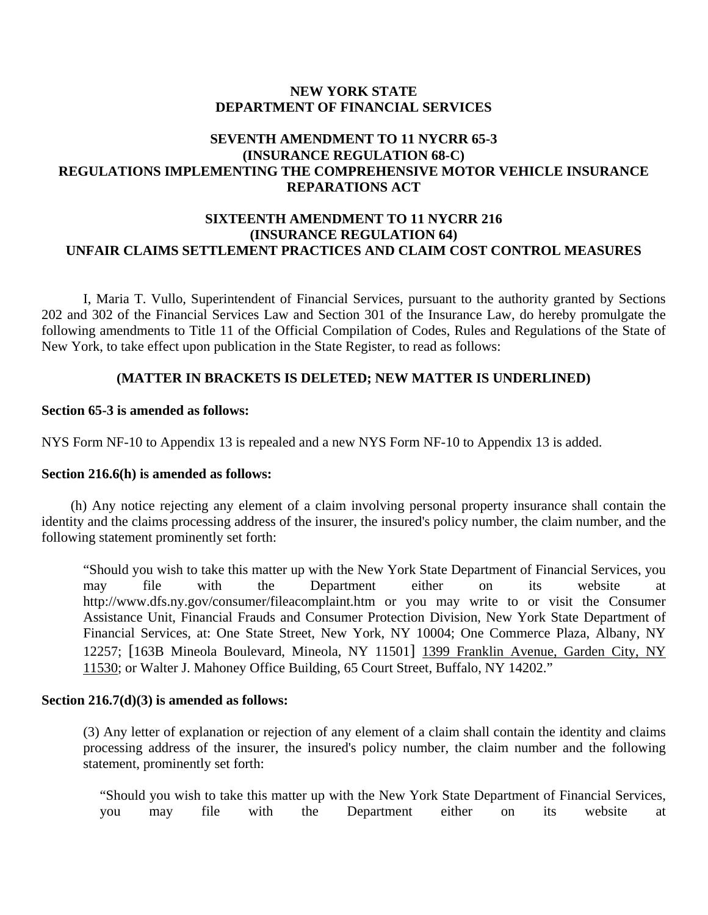### **NEW YORK STATE DEPARTMENT OF FINANCIAL SERVICES**

# **SEVENTH AMENDMENT TO 11 NYCRR 65-3 (INSURANCE REGULATION 68-C) REGULATIONS IMPLEMENTING THE COMPREHENSIVE MOTOR VEHICLE INSURANCE REPARATIONS ACT**

# **SIXTEENTH AMENDMENT TO 11 NYCRR 216 (INSURANCE REGULATION 64) UNFAIR CLAIMS SETTLEMENT PRACTICES AND CLAIM COST CONTROL MEASURES**

I, Maria T. Vullo, Superintendent of Financial Services, pursuant to the authority granted by Sections 202 and 302 of the Financial Services Law and Section 301 of the Insurance Law, do hereby promulgate the following amendments to Title 11 of the Official Compilation of Codes, Rules and Regulations of the State of New York, to take effect upon publication in the State Register, to read as follows:

## **(MATTER IN BRACKETS IS DELETED; NEW MATTER IS UNDERLINED)**

### **Section 65-3 is amended as follows:**

NYS Form NF-10 to Appendix 13 is repealed and a new NYS Form NF-10 to Appendix 13 is added.

### **Section 216.6(h) is amended as follows:**

(h) Any notice rejecting any element of a claim involving personal property insurance shall contain the identity and the claims processing address of the insurer, the insured's policy number, the claim number, and the following statement prominently set forth:

"Should you wish to take this matter up with the New York State Department of Financial Services, you may file with the Department either on its website at http://www.dfs.ny.gov/consumer/fileacomplaint.htm or you may write to or visit the Consumer Assistance Unit, Financial Frauds and Consumer Protection Division, New York State Department of Financial Services, at: One State Street, New York, NY 10004; One Commerce Plaza, Albany, NY 12257; [163B Mineola Boulevard, Mineola, NY 11501] 1399 Franklin Avenue, Garden City, NY 11530; or Walter J. Mahoney Office Building, 65 Court Street, Buffalo, NY 14202."

### **Section 216.7(d)(3) is amended as follows:**

(3) Any letter of explanation or rejection of any element of a claim shall contain the identity and claims processing address of the insurer, the insured's policy number, the claim number and the following statement, prominently set forth:

"Should you wish to take this matter up with the New York State Department of Financial Services, you may file with the Department either on its website at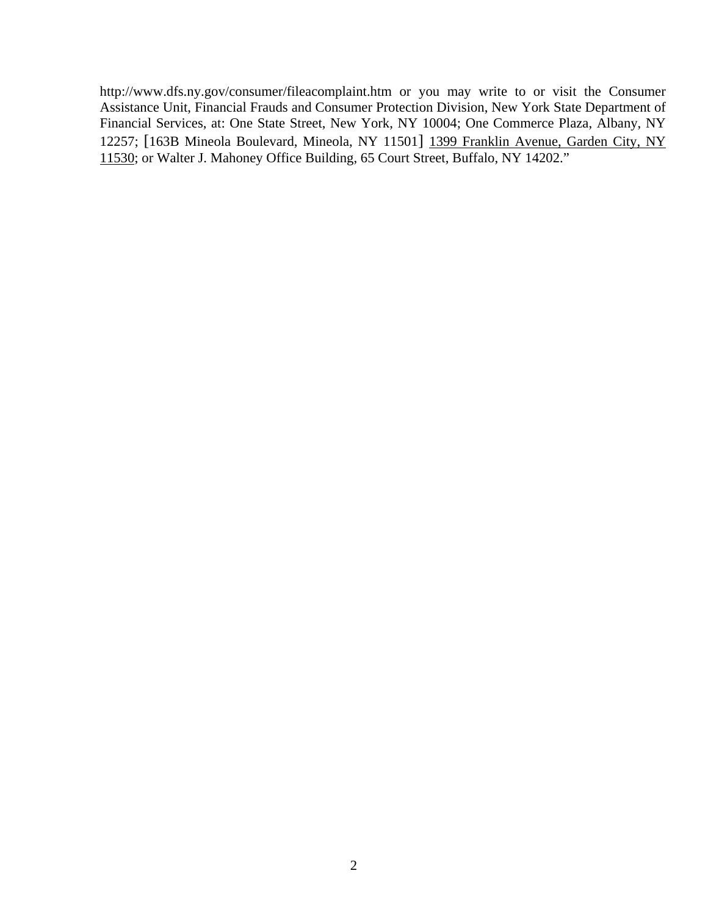http://www.dfs.ny.gov/consumer/fileacomplaint.htm or you may write to or visit the Consumer Assistance Unit, Financial Frauds and Consumer Protection Division, New York State Department of Financial Services, at: One State Street, New York, NY 10004; One Commerce Plaza, Albany, NY 12257; [163B Mineola Boulevard, Mineola, NY 11501] 1399 Franklin Avenue, Garden City, NY 11530; or Walter J. Mahoney Office Building, 65 Court Street, Buffalo, NY 14202."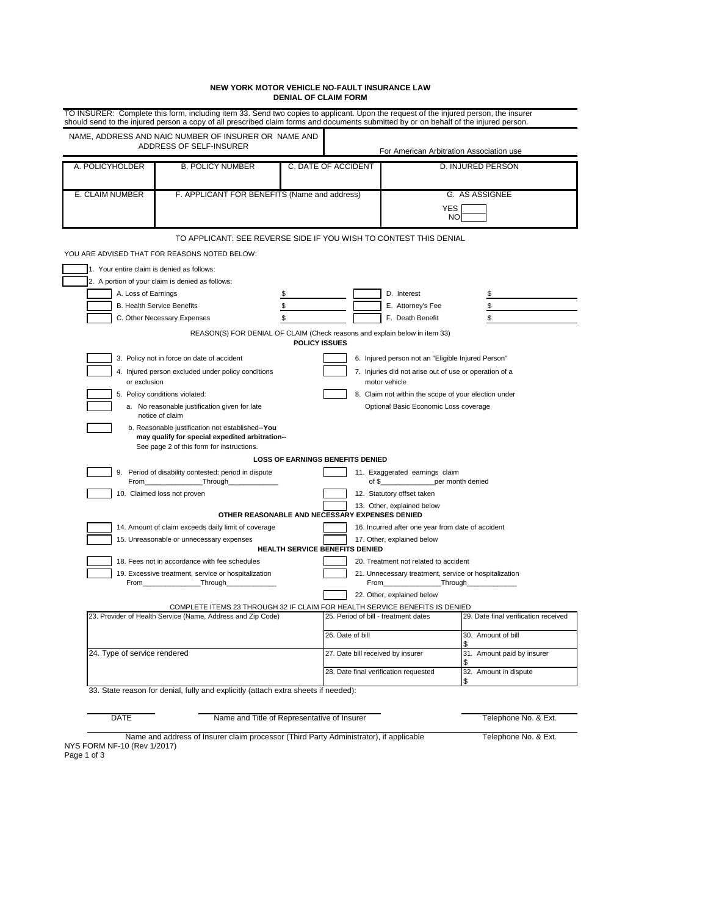#### **NEW YORK MOTOR VEHICLE NO-FAULT INSURANCE LAW DENIAL OF CLAIM FORM**

|                                                                                                                                            | NAME, ADDRESS AND NAIC NUMBER OF INSURER OR NAME AND                                                                                                                                                                                                                                              |                      |                                                                                                     |                                                       |                                      |
|--------------------------------------------------------------------------------------------------------------------------------------------|---------------------------------------------------------------------------------------------------------------------------------------------------------------------------------------------------------------------------------------------------------------------------------------------------|----------------------|-----------------------------------------------------------------------------------------------------|-------------------------------------------------------|--------------------------------------|
| ADDRESS OF SELF-INSURER                                                                                                                    |                                                                                                                                                                                                                                                                                                   |                      | For American Arbitration Association use                                                            |                                                       |                                      |
| A. POLICYHOLDER                                                                                                                            | <b>B. POLICY NUMBER</b>                                                                                                                                                                                                                                                                           | C. DATE OF ACCIDENT  |                                                                                                     | D. INJURED PERSON                                     |                                      |
| E. CLAIM NUMBER<br>F. APPLICANT FOR BENEFITS (Name and address)                                                                            |                                                                                                                                                                                                                                                                                                   |                      |                                                                                                     | G. AS ASSIGNEE                                        |                                      |
|                                                                                                                                            |                                                                                                                                                                                                                                                                                                   |                      |                                                                                                     | <b>YES</b><br>NO                                      |                                      |
|                                                                                                                                            | TO APPLICANT: SEE REVERSE SIDE IF YOU WISH TO CONTEST THIS DENIAL                                                                                                                                                                                                                                 |                      |                                                                                                     |                                                       |                                      |
|                                                                                                                                            | YOU ARE ADVISED THAT FOR REASONS NOTED BELOW:                                                                                                                                                                                                                                                     |                      |                                                                                                     |                                                       |                                      |
| 1. Your entire claim is denied as follows:                                                                                                 |                                                                                                                                                                                                                                                                                                   |                      |                                                                                                     |                                                       |                                      |
|                                                                                                                                            | 2. A portion of your claim is denied as follows:                                                                                                                                                                                                                                                  |                      |                                                                                                     |                                                       |                                      |
| A. Loss of Earnings                                                                                                                        |                                                                                                                                                                                                                                                                                                   | \$                   |                                                                                                     | D. Interest                                           | \$                                   |
|                                                                                                                                            | <b>B. Health Service Benefits</b>                                                                                                                                                                                                                                                                 | \$<br>\$             |                                                                                                     | E. Attorney's Fee                                     | \$                                   |
|                                                                                                                                            | C. Other Necessary Expenses<br>REASON(S) FOR DENIAL OF CLAIM (Check reasons and explain below in item 33)                                                                                                                                                                                         |                      |                                                                                                     | F. Death Benefit                                      | \$                                   |
|                                                                                                                                            | 3. Policy not in force on date of accident                                                                                                                                                                                                                                                        | <b>POLICY ISSUES</b> |                                                                                                     | 6. Injured person not an "Eligible Injured Person"    |                                      |
| 4. Injured person excluded under policy conditions                                                                                         |                                                                                                                                                                                                                                                                                                   |                      | 7. Injuries did not arise out of use or operation of a<br>motor vehicle                             |                                                       |                                      |
| or exclusion<br>5. Policy conditions violated:                                                                                             |                                                                                                                                                                                                                                                                                                   |                      |                                                                                                     | 8. Claim not within the scope of your election under  |                                      |
| a. No reasonable justification given for late<br>notice of claim                                                                           |                                                                                                                                                                                                                                                                                                   |                      | Optional Basic Economic Loss coverage                                                               |                                                       |                                      |
|                                                                                                                                            | b. Reasonable justification not established--You<br>may qualify for special expedited arbitration--<br>See page 2 of this form for instructions.                                                                                                                                                  |                      |                                                                                                     |                                                       |                                      |
|                                                                                                                                            |                                                                                                                                                                                                                                                                                                   |                      | <b>LOSS OF EARNINGS BENEFITS DENIED</b>                                                             |                                                       |                                      |
|                                                                                                                                            | 9. Period of disability contested: period in dispute<br>From the contract of the state of the state of the state of the state of the state of the state of the state of the state of the state of the state of the state of the state of the state of the state of the state of the st<br>Through |                      | of $$$                                                                                              | 11. Exaggerated earnings claim                        | per month denied                     |
|                                                                                                                                            | 10. Claimed loss not proven                                                                                                                                                                                                                                                                       |                      |                                                                                                     | 12. Statutory offset taken                            |                                      |
|                                                                                                                                            |                                                                                                                                                                                                                                                                                                   |                      |                                                                                                     | 13. Other, explained below                            |                                      |
|                                                                                                                                            | 14. Amount of claim exceeds daily limit of coverage                                                                                                                                                                                                                                               |                      | OTHER REASONABLE AND NECESSARY EXPENSES DENIED<br>16. Incurred after one year from date of accident |                                                       |                                      |
| 15. Unreasonable or unnecessary expenses                                                                                                   |                                                                                                                                                                                                                                                                                                   |                      | 17. Other, explained below<br>HEALTH SERVICE BENEFITS DENIED                                        |                                                       |                                      |
|                                                                                                                                            | 18. Fees not in accordance with fee schedules                                                                                                                                                                                                                                                     |                      |                                                                                                     | 20. Treatment not related to accident                 |                                      |
| From                                                                                                                                       | 19. Excessive treatment, service or hospitalization<br>_Through_                                                                                                                                                                                                                                  |                      | From                                                                                                | 21. Unnecessary treatment, service or hospitalization | _Through_                            |
|                                                                                                                                            |                                                                                                                                                                                                                                                                                                   |                      |                                                                                                     | 22. Other, explained below                            |                                      |
| COMPLETE ITEMS 23 THROUGH 32 IF CLAIM FOR HEALTH SERVICE BENEFITS IS DENIED<br>23. Provider of Health Service (Name, Address and Zip Code) |                                                                                                                                                                                                                                                                                                   |                      |                                                                                                     | 25. Period of bill - treatment dates                  | 29. Date final verification received |
|                                                                                                                                            |                                                                                                                                                                                                                                                                                                   |                      | 26. Date of bill                                                                                    |                                                       | 30. Amount of bill                   |
| 24. Type of service rendered                                                                                                               |                                                                                                                                                                                                                                                                                                   |                      | 27. Date bill received by insurer                                                                   |                                                       | 31. Amount paid by insurer           |
|                                                                                                                                            |                                                                                                                                                                                                                                                                                                   |                      | 28. Date final verification requested                                                               |                                                       | 32. Amount in dispute<br>\$          |

DATE Name and Title of Representative of Insurer New York Telephone No. & Ext.

Name and address of Insurer claim processor (Third Party Administrator), if applicable Telephone No. & Ext. NYS FORM NF-10 (Rev 1/2017)

Page 1 of 3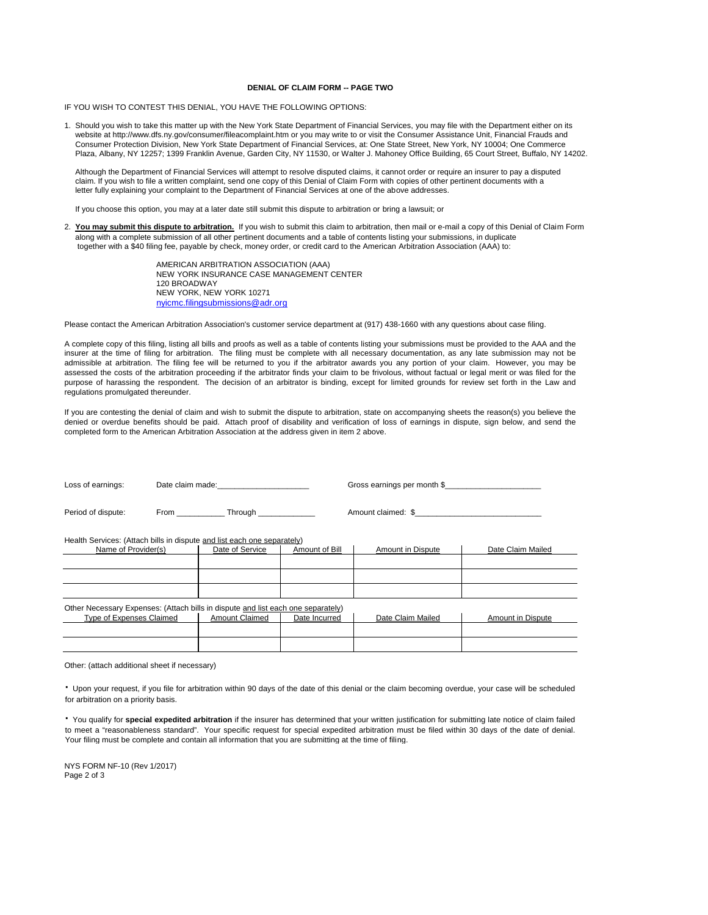#### **DENIAL OF CLAIM FORM -- PAGE TWO**

IF YOU WISH TO CONTEST THIS DENIAL, YOU HAVE THE FOLLOWING OPTIONS:

 1. Should you wish to take this matter up with the New York State Department of Financial Services, you may file with the Department either on its website at http://www.dfs.ny.gov/consumer/fileacomplaint.htm or you may write to or visit the Consumer Assistance Unit, Financial Frauds and Consumer Protection Division, New York State Department of Financial Services, at: One State Street, New York, NY 10004; One Commerce Plaza, Albany, NY 12257; 1399 Franklin Avenue, Garden City, NY 11530, or Walter J. Mahoney Office Building, 65 Court Street, Buffalo, NY 14202.

Although the Department of Financial Services will attempt to resolve disputed claims, it cannot order or require an insurer to pay a disputed claim. If you wish to file a written complaint, send one copy of this Denial of Claim Form with copies of other pertinent documents with a letter fully explaining your complaint to the Department of Financial Services at one of the above addresses.

If you choose this option, you may at a later date still submit this dispute to arbitration or bring a lawsuit; or

 2. **You may submit this dispute to arbitration.** If you wish to submit this claim to arbitration, then mail or e-mail a copy of this Denial of Claim Form along with a complete submission of all other pertinent documents and a table of contents listing your submissions, in duplicate together with a \$40 filing fee, payable by check, money order, or credit card to the American Arbitration Association (AAA) to:

> NEW YORK, NEW YORK 10271 AMERICAN ARBITRATION ASSOCIATION (AAA) NEW YORK INSURANCE CASE MANAGEMENT CENTER 120 BROADWAY nyicmc.filingsubmissions@adr.org

Please contact the American Arbitration Association's customer service department at (917) 438-1660 with any questions about case filing.

A complete copy of this filing, listing all bills and proofs as well as a table of contents listing your submissions must be provided to the AAA and the insurer at the time of filing for arbitration. The filing must be complete with all necessary documentation, as any late submission may not be admissible at arbitration. The filing fee will be returned to you if the arbitrator awards you any portion of your claim. However, you may be assessed the costs of the arbitration proceeding if the arbitrator finds your claim to be frivolous, without factual or legal merit or was filed for the purpose of harassing the respondent. The decision of an arbitrator is binding, except for limited grounds for review set forth in the Law and regulations promulgated thereunder.

 completed form to the American Arbitration Association at the address given in item 2 above. If you are contesting the denial of claim and wish to submit the dispute to arbitration, state on accompanying sheets the reason(s) you believe the denied or overdue benefits should be paid. Attach proof of disability and verification of loss of earnings in dispute, sign below, and send the

| Loss of earnings:                                                                |  | Date claim made: <b>Example 20</b> |                | Gross earnings per month \$ |                   |  |  |  |
|----------------------------------------------------------------------------------|--|------------------------------------|----------------|-----------------------------|-------------------|--|--|--|
| Period of dispute:                                                               |  | From Through Through               |                | Amount claimed: \$          |                   |  |  |  |
| Health Services: (Attach bills in dispute and list each one separately)          |  |                                    |                |                             |                   |  |  |  |
| Name of Provider(s)                                                              |  | Date of Service                    | Amount of Bill | Amount in Dispute           | Date Claim Mailed |  |  |  |
|                                                                                  |  |                                    |                |                             |                   |  |  |  |
|                                                                                  |  |                                    |                |                             |                   |  |  |  |
|                                                                                  |  |                                    |                |                             |                   |  |  |  |
| Other Necessary Expenses: (Attach bills in dispute and list each one separately) |  |                                    |                |                             |                   |  |  |  |
| <b>Type of Expenses Claimed</b>                                                  |  | <b>Amount Claimed</b>              | Date Incurred  | Date Claim Mailed           | Amount in Dispute |  |  |  |
|                                                                                  |  |                                    |                |                             |                   |  |  |  |
|                                                                                  |  |                                    |                |                             |                   |  |  |  |

Other: (attach additional sheet if necessary)

 for arbitration on a priority basis. **·** Upon your request, if you file for arbitration within 90 days of the date of this denial or the claim becoming overdue, your case will be scheduled

 Your filing must be complete and contain all information that you are submitting at the time of filing. **·** You qualify for **special expedited arbitration** if the insurer has determined that your written justification for submitting late notice of claim failed to meet a "reasonableness standard". Your specific request for special expedited arbitration must be filed within 30 days of the date of denial.

 NYS FORM NF-10 (Rev 1/2017) Page 2 of 3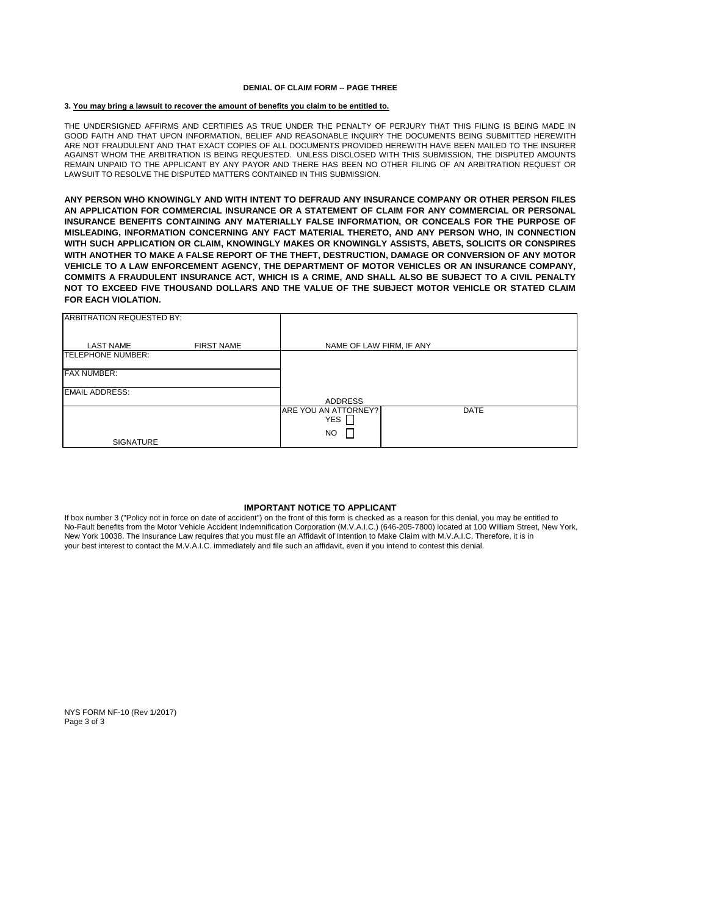#### **DENIAL OF CLAIM FORM -- PAGE THREE**

#### **3. You may bring a lawsuit to recover the amount of benefits you claim to be entitled to.**

 LAWSUIT TO RESOLVE THE DISPUTED MATTERS CONTAINED IN THIS SUBMISSION. THE UNDERSIGNED AFFIRMS AND CERTIFIES AS TRUE UNDER THE PENALTY OF PERJURY THAT THIS FILING IS BEING MADE IN GOOD FAITH AND THAT UPON INFORMATION, BELIEF AND REASONABLE INQUIRY THE DOCUMENTS BEING SUBMITTED HEREWITH ARE NOT FRAUDULENT AND THAT EXACT COPIES OF ALL DOCUMENTS PROVIDED HEREWITH HAVE BEEN MAILED TO THE INSURER AGAINST WHOM THE ARBITRATION IS BEING REQUESTED. UNLESS DISCLOSED WITH THIS SUBMISSION, THE DISPUTED AMOUNTS REMAIN UNPAID TO THE APPLICANT BY ANY PAYOR AND THERE HAS BEEN NO OTHER FILING OF AN ARBITRATION REQUEST OR

**ANY PERSON WHO KNOWINGLY AND WITH INTENT TO DEFRAUD ANY INSURANCE COMPANY OR OTHER PERSON FILES AN APPLICATION FOR COMMERCIAL INSURANCE OR A STATEMENT OF CLAIM FOR ANY COMMERCIAL OR PERSONAL INSURANCE BENEFITS CONTAINING ANY MATERIALLY FALSE INFORMATION, OR CONCEALS FOR THE PURPOSE OF MISLEADING, INFORMATION CONCERNING ANY FACT MATERIAL THERETO, AND ANY PERSON WHO, IN CONNECTION WITH SUCH APPLICATION OR CLAIM, KNOWINGLY MAKES OR KNOWINGLY ASSISTS, ABETS, SOLICITS OR CONSPIRES WITH ANOTHER TO MAKE A FALSE REPORT OF THE THEFT, DESTRUCTION, DAMAGE OR CONVERSION OF ANY MOTOR VEHICLE TO A LAW ENFORCEMENT AGENCY, THE DEPARTMENT OF MOTOR VEHICLES OR AN INSURANCE COMPANY, COMMITS A FRAUDULENT INSURANCE ACT, WHICH IS A CRIME, AND SHALL ALSO BE SUBJECT TO A CIVIL PENALTY NOT TO EXCEED FIVE THOUSAND DOLLARS AND THE VALUE OF THE SUBJECT MOTOR VEHICLE OR STATED CLAIM FOR EACH VIOLATION.** 

| <b>ARBITRATION REQUESTED BY:</b> |                   |                                    |                          |  |  |  |  |
|----------------------------------|-------------------|------------------------------------|--------------------------|--|--|--|--|
| <b>LAST NAME</b>                 | <b>FIRST NAME</b> |                                    | NAME OF LAW FIRM, IF ANY |  |  |  |  |
| <b>TELEPHONE NUMBER:</b>         |                   |                                    |                          |  |  |  |  |
| <b>FAX NUMBER:</b>               |                   |                                    |                          |  |  |  |  |
| <b>EMAIL ADDRESS:</b>            |                   |                                    |                          |  |  |  |  |
|                                  |                   | ADDRESS                            |                          |  |  |  |  |
|                                  |                   | ARE YOU AN ATTORNEY?<br>YES $\Box$ | <b>DATE</b>              |  |  |  |  |
|                                  |                   | <b>NO</b>                          |                          |  |  |  |  |
| SIGNATURE                        |                   |                                    |                          |  |  |  |  |

#### **IMPORTANT NOTICE TO APPLICANT**

 If box number 3 ("Policy not in force on date of accident") on the front of this form is checked as a reason for this denial, you may be entitled to No-Fault benefits from the Motor Vehicle Accident Indemnification Corporation (M.V.A.I.C.) (646-205-7800) located at 100 William Street, New York, New York 10038. The Insurance Law requires that you must file an Affidavit of Intention to Make Claim with M.V.A.I.C. Therefore, it is in your best interest to contact the M.V.A.I.C. immediately and file such an affidavit, even if you intend to contest this denial.

 NYS FORM NF-10 (Rev 1/2017) Page 3 of 3